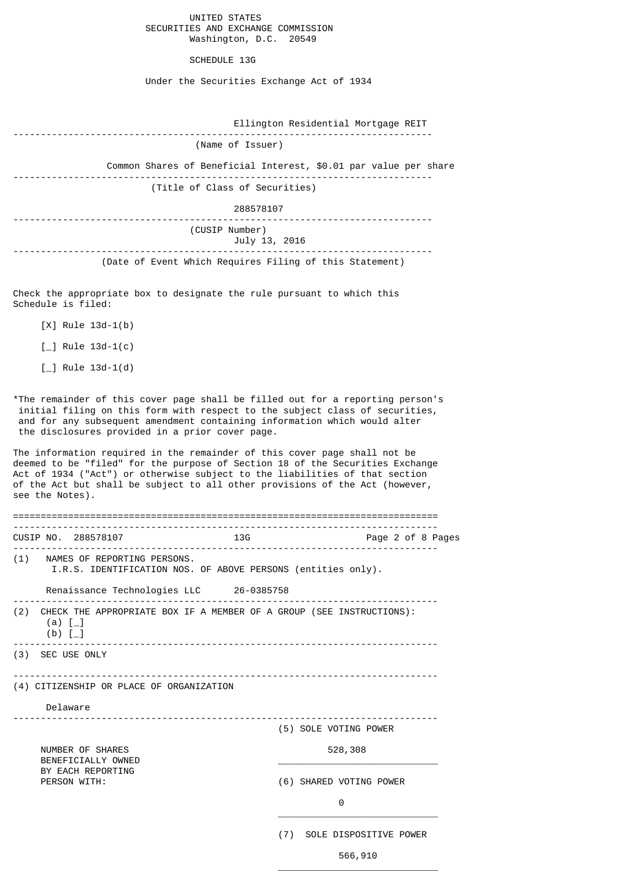# UNITED STATES SECURITIES AND EXCHANGE COMMISSION Washington, D.C. 20549

# SCHEDULE 13G

Under the Securities Exchange Act of 1934

| Ellington Residential Mortgage REIT                              |
|------------------------------------------------------------------|
| (Name of Issuer)                                                 |
| Common Shares of Beneficial Interest, \$0.01 par value per share |
| (Title of Class of Securities)                                   |
| 288578107                                                        |
| (CUSIP Number)<br>July 13, 2016                                  |
| (Date of Event Which Requires Filing of this Statement)          |

Check the appropriate box to designate the rule pursuant to which this Schedule is filed:

- [X] Rule 13d-1(b)
- $[\ ]$  Rule 13d-1(c)
- $[\ ]$  Rule 13d-1(d)

\*The remainder of this cover page shall be filled out for a reporting person's initial filing on this form with respect to the subject class of securities, and for any subsequent amendment containing information which would alter the disclosures provided in a prior cover page.

The information required in the remainder of this cover page shall not be deemed to be "filed" for the purpose of Section 18 of the Securities Exchange Act of 1934 ("Act") or otherwise subject to the liabilities of that section of the Act but shall be subject to all other provisions of the Act (however, see the Notes).

|                                        | CUSIP NO. 288578107                      |  | 13G                     |     |                                                                          | Page 2 of 8 Pages |
|----------------------------------------|------------------------------------------|--|-------------------------|-----|--------------------------------------------------------------------------|-------------------|
|                                        | (1) NAMES OF REPORTING PERSONS.          |  |                         |     | I.R.S. IDENTIFICATION NOS. OF ABOVE PERSONS (entities only).             |                   |
|                                        | Renaissance Technologies LLC 26-0385758  |  |                         |     |                                                                          |                   |
| $(a)$ $\lceil$<br>$(b)$ [_]            |                                          |  |                         |     | (2) CHECK THE APPROPRIATE BOX IF A MEMBER OF A GROUP (SEE INSTRUCTIONS): |                   |
|                                        | (3) SEC USE ONLY                         |  |                         |     |                                                                          |                   |
|                                        | (4) CITIZENSHIP OR PLACE OF ORGANIZATION |  |                         |     |                                                                          |                   |
| Delaware                               |                                          |  |                         |     |                                                                          |                   |
|                                        |                                          |  |                         |     | (5) SOLE VOTING POWER                                                    |                   |
| NUMBER OF SHARES<br>BENEFICIALLY OWNED |                                          |  |                         |     | 528,308                                                                  |                   |
| BY EACH REPORTING<br>PERSON WITH:      |                                          |  | (6) SHARED VOTING POWER |     |                                                                          |                   |
|                                        |                                          |  |                         |     | 0                                                                        |                   |
|                                        |                                          |  |                         | (7) | SOLE DISPOSITIVE POWER                                                   |                   |

 $\overline{\phantom{a}}$  , and the contract of the contract of the contract of the contract of the contract of the contract of the contract of the contract of the contract of the contract of the contract of the contract of the contrac

 $566,910$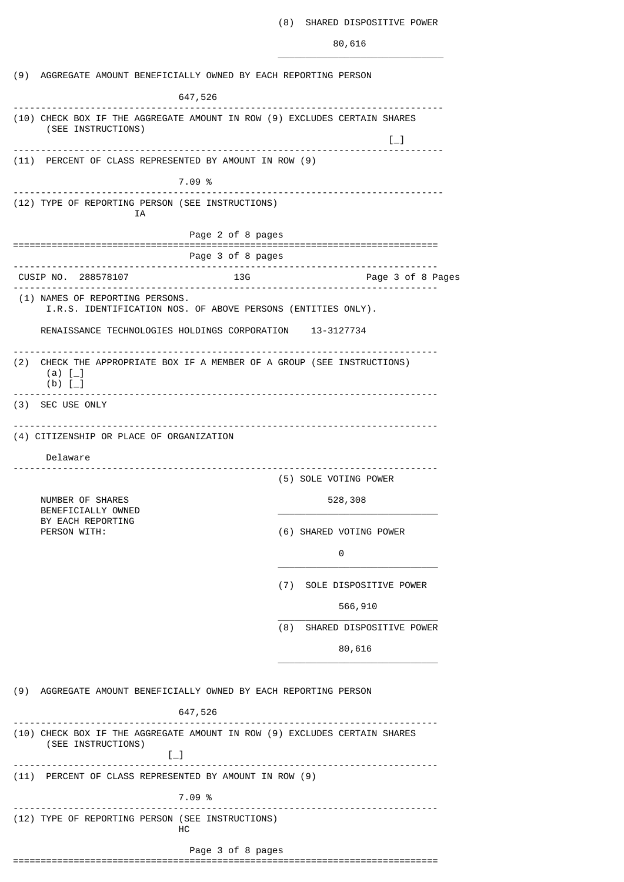# (8) SHARED DISPOSITIVE POWER

80,616

| (9) AGGREGATE AMOUNT BENEFICIALLY OWNED BY EACH REPORTING PERSON<br>647,526<br>(10) CHECK BOX IF THE AGGREGATE AMOUNT IN ROW (9) EXCLUDES CERTAIN SHARES<br>(SEE INSTRUCTIONS)<br>$\left[\begin{smallmatrix}1\\1\end{smallmatrix}\right]$<br>(11) PERCENT OF CLASS REPRESENTED BY AMOUNT IN ROW (9)<br>7.09 %<br>(12) TYPE OF REPORTING PERSON (SEE INSTRUCTIONS)<br>ΙA<br>Page 2 of 8 pages<br>Page 3 of 8 pages<br>------------------------<br>CUSIP NO. 288578107<br>13G<br>Page 3 of 8 Pages<br>(1) NAMES OF REPORTING PERSONS.<br>I.R.S. IDENTIFICATION NOS. OF ABOVE PERSONS (ENTITIES ONLY).<br>RENAISSANCE TECHNOLOGIES HOLDINGS CORPORATION 13-3127734<br>(2)<br>CHECK THE APPROPRIATE BOX IF A MEMBER OF A GROUP (SEE INSTRUCTIONS)<br>(a) $[-]$<br>$(b)$ [<br>(3) SEC USE ONLY<br>(4) CITIZENSHIP OR PLACE OF ORGANIZATION |  |  |  |
|---------------------------------------------------------------------------------------------------------------------------------------------------------------------------------------------------------------------------------------------------------------------------------------------------------------------------------------------------------------------------------------------------------------------------------------------------------------------------------------------------------------------------------------------------------------------------------------------------------------------------------------------------------------------------------------------------------------------------------------------------------------------------------------------------------------------------------------|--|--|--|
|                                                                                                                                                                                                                                                                                                                                                                                                                                                                                                                                                                                                                                                                                                                                                                                                                                       |  |  |  |
|                                                                                                                                                                                                                                                                                                                                                                                                                                                                                                                                                                                                                                                                                                                                                                                                                                       |  |  |  |
|                                                                                                                                                                                                                                                                                                                                                                                                                                                                                                                                                                                                                                                                                                                                                                                                                                       |  |  |  |
|                                                                                                                                                                                                                                                                                                                                                                                                                                                                                                                                                                                                                                                                                                                                                                                                                                       |  |  |  |
|                                                                                                                                                                                                                                                                                                                                                                                                                                                                                                                                                                                                                                                                                                                                                                                                                                       |  |  |  |
|                                                                                                                                                                                                                                                                                                                                                                                                                                                                                                                                                                                                                                                                                                                                                                                                                                       |  |  |  |
|                                                                                                                                                                                                                                                                                                                                                                                                                                                                                                                                                                                                                                                                                                                                                                                                                                       |  |  |  |
|                                                                                                                                                                                                                                                                                                                                                                                                                                                                                                                                                                                                                                                                                                                                                                                                                                       |  |  |  |
|                                                                                                                                                                                                                                                                                                                                                                                                                                                                                                                                                                                                                                                                                                                                                                                                                                       |  |  |  |
|                                                                                                                                                                                                                                                                                                                                                                                                                                                                                                                                                                                                                                                                                                                                                                                                                                       |  |  |  |
|                                                                                                                                                                                                                                                                                                                                                                                                                                                                                                                                                                                                                                                                                                                                                                                                                                       |  |  |  |
|                                                                                                                                                                                                                                                                                                                                                                                                                                                                                                                                                                                                                                                                                                                                                                                                                                       |  |  |  |
| Delaware<br>(5) SOLE VOTING POWER<br>NUMBER OF SHARES<br>528,308<br>BENEFICIALLY OWNED                                                                                                                                                                                                                                                                                                                                                                                                                                                                                                                                                                                                                                                                                                                                                |  |  |  |
| BY EACH REPORTING<br>PERSON WITH:<br>(6) SHARED VOTING POWER<br>0                                                                                                                                                                                                                                                                                                                                                                                                                                                                                                                                                                                                                                                                                                                                                                     |  |  |  |
| (7) SOLE DISPOSITIVE POWER                                                                                                                                                                                                                                                                                                                                                                                                                                                                                                                                                                                                                                                                                                                                                                                                            |  |  |  |
| 566,910                                                                                                                                                                                                                                                                                                                                                                                                                                                                                                                                                                                                                                                                                                                                                                                                                               |  |  |  |
| (8)<br>SHARED DISPOSITIVE POWER                                                                                                                                                                                                                                                                                                                                                                                                                                                                                                                                                                                                                                                                                                                                                                                                       |  |  |  |
| 80,616                                                                                                                                                                                                                                                                                                                                                                                                                                                                                                                                                                                                                                                                                                                                                                                                                                |  |  |  |
| (9) AGGREGATE AMOUNT BENEFICIALLY OWNED BY EACH REPORTING PERSON                                                                                                                                                                                                                                                                                                                                                                                                                                                                                                                                                                                                                                                                                                                                                                      |  |  |  |
| 647,526                                                                                                                                                                                                                                                                                                                                                                                                                                                                                                                                                                                                                                                                                                                                                                                                                               |  |  |  |
| (10) CHECK BOX IF THE AGGREGATE AMOUNT IN ROW (9) EXCLUDES CERTAIN SHARES<br>(SEE INSTRUCTIONS)<br>$[-]$                                                                                                                                                                                                                                                                                                                                                                                                                                                                                                                                                                                                                                                                                                                              |  |  |  |
| -------------------------------<br>(11) PERCENT OF CLASS REPRESENTED BY AMOUNT IN ROW (9)                                                                                                                                                                                                                                                                                                                                                                                                                                                                                                                                                                                                                                                                                                                                             |  |  |  |
| 7.09 %                                                                                                                                                                                                                                                                                                                                                                                                                                                                                                                                                                                                                                                                                                                                                                                                                                |  |  |  |
| (12) TYPE OF REPORTING PERSON (SEE INSTRUCTIONS)<br>нc                                                                                                                                                                                                                                                                                                                                                                                                                                                                                                                                                                                                                                                                                                                                                                                |  |  |  |
|                                                                                                                                                                                                                                                                                                                                                                                                                                                                                                                                                                                                                                                                                                                                                                                                                                       |  |  |  |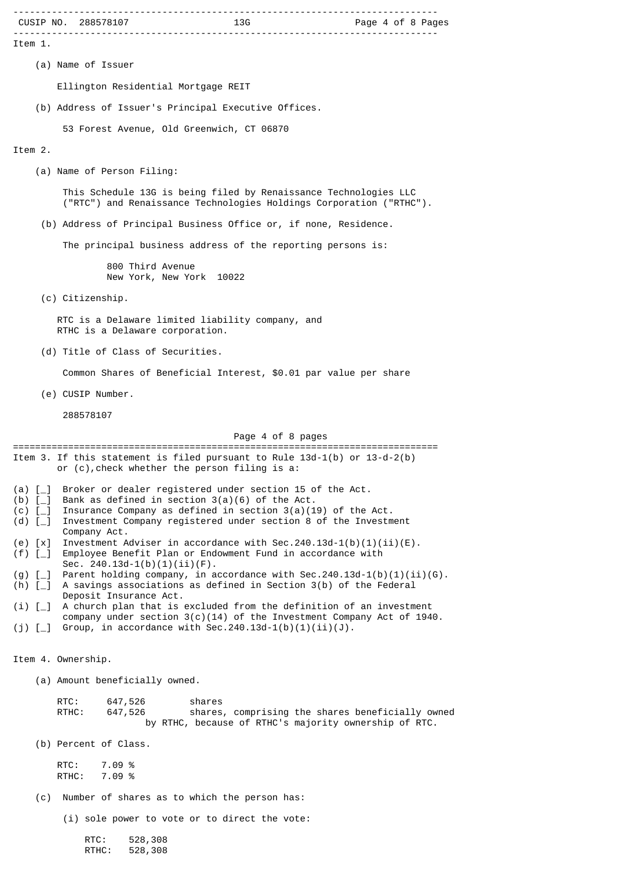|                              | CUSIP NO. 288578107                                                                                                                                        |
|------------------------------|------------------------------------------------------------------------------------------------------------------------------------------------------------|
| Item 1.                      |                                                                                                                                                            |
|                              | (a) Name of Issuer                                                                                                                                         |
|                              | Ellington Residential Mortgage REIT                                                                                                                        |
|                              | (b) Address of Issuer's Principal Executive Offices.                                                                                                       |
|                              | 53 Forest Avenue, Old Greenwich, CT 06870                                                                                                                  |
| Item 2.                      |                                                                                                                                                            |
|                              | (a) Name of Person Filing:                                                                                                                                 |
|                              | This Schedule 13G is being filed by Renaissance Technologies LLC<br>("RTC") and Renaissance Technologies Holdings Corporation ("RTHC").                    |
|                              | (b) Address of Principal Business Office or, if none, Residence.                                                                                           |
|                              | The principal business address of the reporting persons is:                                                                                                |
|                              | 800 Third Avenue<br>New York, New York 10022                                                                                                               |
|                              | (c) Citizenship.                                                                                                                                           |
|                              | RTC is a Delaware limited liability company, and<br>RTHC is a Delaware corporation.                                                                        |
|                              | (d) Title of Class of Securities.                                                                                                                          |
|                              | Common Shares of Beneficial Interest, \$0.01 par value per share                                                                                           |
|                              | (e) CUSIP Number.                                                                                                                                          |
|                              | 288578107                                                                                                                                                  |
|                              | Page 4 of 8 pages<br>==========================<br>=======================                                                                                 |
|                              | Item 3. If this statement is filed pursuant to Rule $13d-1(b)$ or $13-d-2(b)$<br>or (c), check whether the person filing is a:                             |
| (a) $\lceil \_$<br>(b) $[-]$ | Broker or dealer registered under section 15 of the Act.<br>Bank as defined in section $3(a)(6)$ of the Act.                                               |
| $(c)$ [_]<br>(d) $[-]$       | Insurance Company as defined in section $3(a)(19)$ of the Act.<br>Investment Company registered under section 8 of the Investment                          |
| $(e)$ $[x]$                  | Company Act.<br>Investment Adviser in accordance with Sec.240.13d-1(b)(1)(ii)(E).                                                                          |
| $(f)$ [_]                    | Employee Benefit Plan or Endowment Fund in accordance with<br>Sec. $240.13d-1(b)(1)(ii)(F)$ .                                                              |
| $(g)$ [<br>$(h)$ $[-]$       | Parent holding company, in accordance with Sec.240.13d-1(b)(1)(ii)(G).<br>A savings associations as defined in Section 3(b) of the Federal                 |
| (i) [                        | Deposit Insurance Act.<br>A church plan that is excluded from the definition of an investment                                                              |
| $(j)$ [_]                    | company under section $3(c)(14)$ of the Investment Company Act of 1940.<br>Group, in accordance with Sec. 240.13d-1(b)(1)(ii)(J).                          |
|                              |                                                                                                                                                            |
|                              | Item 4. Ownership.                                                                                                                                         |
|                              | (a) Amount beneficially owned.                                                                                                                             |
|                              | RTC:<br>647,526<br>shares<br>shares, comprising the shares beneficially owned<br>RTHC:<br>647,526<br>by RTHC, because of RTHC's majority ownership of RTC. |
|                              | (b) Percent of Class.                                                                                                                                      |
|                              | RTC:<br>7.09 %<br>RTHC:<br>7.09 %                                                                                                                          |
| (c)                          | Number of shares as to which the person has:                                                                                                               |
|                              | (i) sole power to vote or to direct the vote:                                                                                                              |
|                              |                                                                                                                                                            |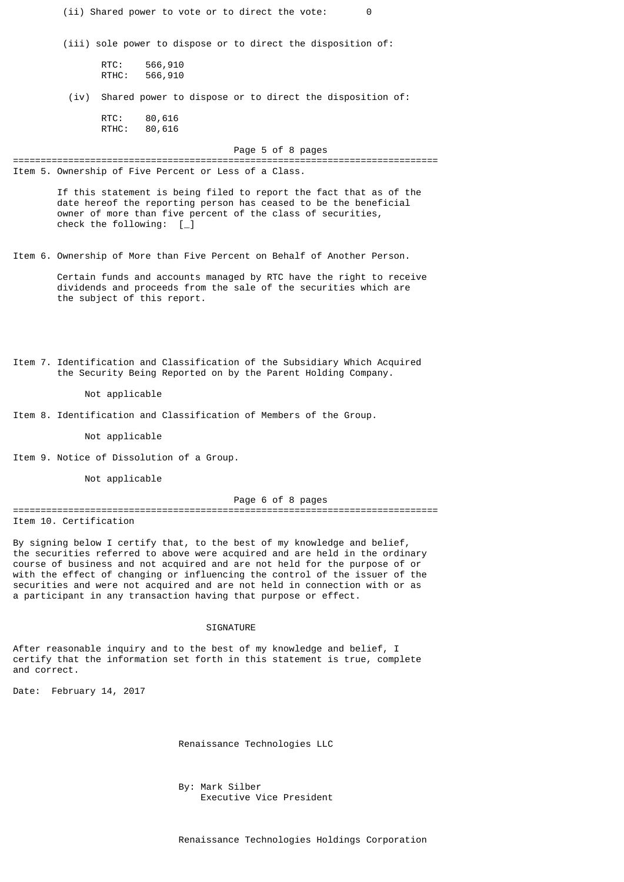(ii) Shared power to vote or to direct the vote: 0

(iii) sole power to dispose or to direct the disposition of:

RTC: 566,910 RTHC: 566,910

(iv) Shared power to dispose or to direct the disposition of:

RTC: 80,616 RTHC: 80,616

Page 5 of 8 pages

Item 5. Ownership of Five Percent or Less of a Class.

 If this statement is being filed to report the fact that as of the date hereof the reporting person has ceased to be the beneficial owner of more than five percent of the class of securities, check the following:  $\begin{bmatrix} 1 \end{bmatrix}$ 

=============================================================================

Item 6. Ownership of More than Five Percent on Behalf of Another Person.

Certain funds and accounts managed by RTC have the right to receive dividends and proceeds from the sale of the securities which are the subject of this report.

Item 7. Identification and Classification of the Subsidiary Which Acquired the Security Being Reported on by the Parent Holding Company.

#### Not applicable

Item 8. Identification and Classification of Members of the Group.

Not applicable

Item 9. Notice of Dissolution of a Group.

Not applicable

# Page 6 of 8 pages

============================================================================= Item 10. Certification

By signing below I certify that, to the best of my knowledge and belief, the securities referred to above were acquired and are held in the ordinary course of business and not acquired and are not held for the purpose of or with the effect of changing or influencing the control of the issuer of the securities and were not acquired and are not held in connection with or as a participant in any transaction having that purpose or effect.

#### **SIGNATURE**

After reasonable inquiry and to the best of my knowledge and belief, I certify that the information set forth in this statement is true, complete and correct.

Date: February 14, 2017

Renaissance Technologies LLC

 By: Mark Silber Executive Vice President